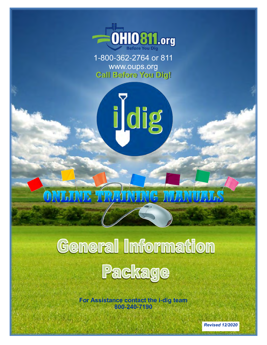

1-800-362-2764 or 811 www.oups.org **Call Before You Dig!**

idig



# **General Information** Package

**For Assistance contact the i-dig team 800-240-7190**

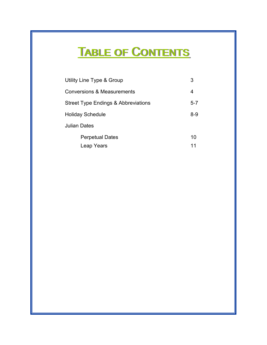## TABLE OF CONTENTS

|                     | Utility Line Type & Group                      | 3       |
|---------------------|------------------------------------------------|---------|
|                     | <b>Conversions &amp; Measurements</b>          | 4       |
|                     | <b>Street Type Endings &amp; Abbreviations</b> | $5 - 7$ |
|                     | <b>Holiday Schedule</b>                        | $8 - 9$ |
| <b>Julian Dates</b> |                                                |         |
|                     | <b>Perpetual Dates</b>                         | 10      |
|                     | Leap Years                                     | 11      |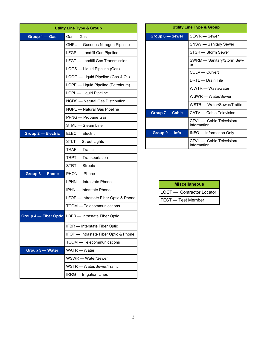| <b>Utility Line Type &amp; Group</b> |                                                            |  |  |  |  |  |
|--------------------------------------|------------------------------------------------------------|--|--|--|--|--|
| Group 1 - Gas                        | Gas — Gas                                                  |  |  |  |  |  |
|                                      | GNPL - Gaseous Nitrogen Pipeline                           |  |  |  |  |  |
|                                      | LFGP - Landfill Gas Pipeline                               |  |  |  |  |  |
|                                      | LFGT - Landfill Gas Transmission                           |  |  |  |  |  |
|                                      | LQGS — Liquid Pipeline (Gas)                               |  |  |  |  |  |
|                                      | LQOG - Liquid Pipeline (Gas & Oil)                         |  |  |  |  |  |
|                                      | LQPE - Liquid Pipeline (Petroleum)                         |  |  |  |  |  |
|                                      | LQPL - Liquid Pipeline                                     |  |  |  |  |  |
|                                      | NGDS - Natural Gas Distribution                            |  |  |  |  |  |
|                                      | NGPL - Natural Gas Pipeline                                |  |  |  |  |  |
|                                      | PPNG - Propane Gas                                         |  |  |  |  |  |
|                                      | STML - Steam Line                                          |  |  |  |  |  |
| <b>Group 2 - Electric</b>            | ELEC - Electric                                            |  |  |  |  |  |
|                                      | STLT - Street Lights                                       |  |  |  |  |  |
|                                      | TRAF - Traffic                                             |  |  |  |  |  |
|                                      | TRPT - Transportation                                      |  |  |  |  |  |
|                                      | STRT - Streets                                             |  |  |  |  |  |
| Group 3 - Phone                      | PHON - Phone                                               |  |  |  |  |  |
|                                      | LPHN - Intrastate Phone                                    |  |  |  |  |  |
|                                      | IPHN - Interstate Phone                                    |  |  |  |  |  |
|                                      | LFOP - Intrastate Fiber Optic & Phone                      |  |  |  |  |  |
|                                      | TCOM - Telecommunications                                  |  |  |  |  |  |
|                                      | <b>Group 4 – Fiber Optic LBFR</b> – Intrastate Fiber Optic |  |  |  |  |  |
|                                      | IFBR - Interstate Fiber Optic                              |  |  |  |  |  |
|                                      | IFOP - Intrastate Fiber Optic & Phone                      |  |  |  |  |  |
|                                      | <b>TCOM</b> — Telecommunications                           |  |  |  |  |  |
| Group 5 - Water                      | WATR - Water                                               |  |  |  |  |  |
|                                      | WSWR - Water/Sewer                                         |  |  |  |  |  |
|                                      | WSTR - Water/Sewer/Traffic                                 |  |  |  |  |  |
|                                      | IRRG - Irrigation Lines                                    |  |  |  |  |  |

|                 | <b>Utility Line Type &amp; Group</b>    |  |  |  |  |
|-----------------|-----------------------------------------|--|--|--|--|
| Group 6 - Sewer | SFWR - Sewer                            |  |  |  |  |
|                 | SNSW — Sanitary Sewer                   |  |  |  |  |
|                 | STSR - Storm Sewer                      |  |  |  |  |
|                 | SWRM - Sanitary/Storm Sew-<br>er        |  |  |  |  |
|                 | CULV - Culvert                          |  |  |  |  |
|                 | DRTL - Drain Tile                       |  |  |  |  |
|                 | WWTR - Wastewater                       |  |  |  |  |
|                 | WSWR - Water/Sewer                      |  |  |  |  |
|                 | WSTR - Water/Sewer/Traffic              |  |  |  |  |
| Group 7 - Cable | CATV - Cable Television                 |  |  |  |  |
|                 | CTVI - Cable Television/<br>Information |  |  |  |  |
| Group 0 - Info  | INFO - Information Only                 |  |  |  |  |
|                 | CTVI - Cable Television/<br>Information |  |  |  |  |

| <b>Miscellaneous</b>       |  |  |  |  |  |  |
|----------------------------|--|--|--|--|--|--|
| LOCT - Contractor Locator  |  |  |  |  |  |  |
| <b>ITEST</b> — Test Member |  |  |  |  |  |  |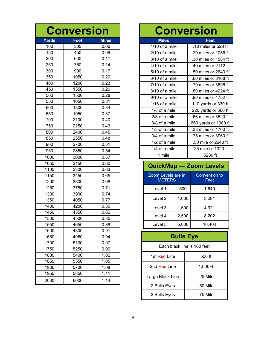| <b>Conversion</b> |      |                   |  |  |  |  |  |  |
|-------------------|------|-------------------|--|--|--|--|--|--|
| <b>Yards</b>      | Feet | <b>Miles</b>      |  |  |  |  |  |  |
| 100               | 300  | 0.06              |  |  |  |  |  |  |
| 150               | 450  | 0.09              |  |  |  |  |  |  |
| 200               | 600  | 0.11              |  |  |  |  |  |  |
| 250               | 750  | $\overline{0.14}$ |  |  |  |  |  |  |
| 300               | 900  | 0.17              |  |  |  |  |  |  |
| 350               | 1050 | 0.20              |  |  |  |  |  |  |
| 400               | 1200 | 0.23              |  |  |  |  |  |  |
| 450               | 1350 | 0.26              |  |  |  |  |  |  |
| 500               | 1500 | 0.28              |  |  |  |  |  |  |
| 550               | 1650 | 0.31              |  |  |  |  |  |  |
| 600               | 1800 | 0.34              |  |  |  |  |  |  |
| 650               | 1950 | 0.37              |  |  |  |  |  |  |
| 700               | 2100 | 0.40              |  |  |  |  |  |  |
| 750               | 2250 | 0.43              |  |  |  |  |  |  |
| 800               | 2400 | 0.45              |  |  |  |  |  |  |
| 850               | 2550 | 0.48              |  |  |  |  |  |  |
| 900               | 2700 | 0.51              |  |  |  |  |  |  |
| 950               | 2850 | 0.54              |  |  |  |  |  |  |
| 1000              | 3000 | 0.57              |  |  |  |  |  |  |
| 1050              | 3150 | 0.60              |  |  |  |  |  |  |
| 1100              | 3300 | 0.63              |  |  |  |  |  |  |
| 1150              | 3450 | 0.65              |  |  |  |  |  |  |
| 1200              | 3600 | 0.68              |  |  |  |  |  |  |
| 1250              | 3750 | 0.71              |  |  |  |  |  |  |
| 1300              | 3900 | 0.74              |  |  |  |  |  |  |
| 1350              | 4050 | 0.77              |  |  |  |  |  |  |
| 1400              | 4200 | 0.80              |  |  |  |  |  |  |
| 1450              | 4350 | 0.82              |  |  |  |  |  |  |
| 1500              | 4500 | 0.85              |  |  |  |  |  |  |
| 1550              | 4650 | 0.88              |  |  |  |  |  |  |
| 1600              | 4800 | 0.91              |  |  |  |  |  |  |
| 1650              | 4950 | 0.94              |  |  |  |  |  |  |
| 1700              | 5100 | 0.97              |  |  |  |  |  |  |
| 1750              | 5250 | 0.99              |  |  |  |  |  |  |
| 1800              | 5400 | 1.02              |  |  |  |  |  |  |
| 1850              | 5550 | 1.05              |  |  |  |  |  |  |
| 1900              | 5700 | 1.08              |  |  |  |  |  |  |
| 1950              | 5850 | 1.11              |  |  |  |  |  |  |
| 2000              | 6000 | 1.14              |  |  |  |  |  |  |

| <b>Conversion</b> |                      |  |  |  |  |  |  |  |
|-------------------|----------------------|--|--|--|--|--|--|--|
| <b>Miles</b>      | Feet                 |  |  |  |  |  |  |  |
| 1/10 of a mile    | .10 miles or 528 ft  |  |  |  |  |  |  |  |
| $2/10$ of a mile  | .20 miles or 1056 ft |  |  |  |  |  |  |  |
| 3/10 of a mile    | .30 miles or 1584 ft |  |  |  |  |  |  |  |
| 4/10 of a mile    | .40 miles or 2112 ft |  |  |  |  |  |  |  |
| 5/10 of a mile    | .50 miles or 2640 ft |  |  |  |  |  |  |  |
| 6/10 of a mile    | .60 miles or 3168 ft |  |  |  |  |  |  |  |
| $7/10$ of a mile  | .70 miles or 3696 ft |  |  |  |  |  |  |  |
| 8/10 of a mile    | .80 miles or 4224 ft |  |  |  |  |  |  |  |
| 9/10 of a mile    | .90 miles or 4752 ft |  |  |  |  |  |  |  |
| $1/16$ of a mile  | 110 yards or 330 ft  |  |  |  |  |  |  |  |
| $1/8$ of a mile   | 220 yards or 660 ft  |  |  |  |  |  |  |  |
| $2/3$ of a mile   | .66 miles or 3520 ft |  |  |  |  |  |  |  |
| 3/8 of a mile     | 660 yards or 1980 ft |  |  |  |  |  |  |  |
| 1/3 of a mile     | .33 miles or 1760 ft |  |  |  |  |  |  |  |
| 3/4 of a mile     | .75 miles or 3960 ft |  |  |  |  |  |  |  |
| $1/2$ of a mile   | .50 mile or 2640 ft  |  |  |  |  |  |  |  |
| 1/4 of a mile     | .25 mile or 1320 ft  |  |  |  |  |  |  |  |
| 1 mile            | 5280 ft              |  |  |  |  |  |  |  |

## **QuickMap — Zoom Levels**

| Zoom Levels are in<br><b>METERS</b> | <b>Conversion to</b><br>Feet |       |
|-------------------------------------|------------------------------|-------|
| Level 1                             | 1.640                        |       |
| Level 2                             | 1,000                        | 3,281 |
| 1,500<br>Level 3                    |                              | 4,921 |
| Level 4                             | 2,500                        | 8,202 |
| Level 5                             | 16.404                       |       |

## **Bulls Eye**

| Each black line is 100 feet |          |  |  |  |  |  |  |  |
|-----------------------------|----------|--|--|--|--|--|--|--|
| 1st Red Line                | 500 ft   |  |  |  |  |  |  |  |
| 2nd Red Line                | 1.000Ft  |  |  |  |  |  |  |  |
| Large Black Line            | .25 Mile |  |  |  |  |  |  |  |
| 2 Bulls Eyes                | .50 Mile |  |  |  |  |  |  |  |
| 3 Bulls Eyes                | .75 Mile |  |  |  |  |  |  |  |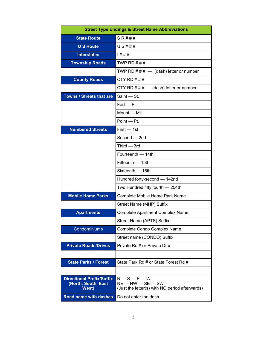| <b>Street Type Endings &amp; Street Name Abbreviations</b>              |                                                                                    |  |  |  |  |  |
|-------------------------------------------------------------------------|------------------------------------------------------------------------------------|--|--|--|--|--|
| <b>State Route</b>                                                      | S R # # #                                                                          |  |  |  |  |  |
| <b>U S Route</b>                                                        | U S # # #                                                                          |  |  |  |  |  |
| <b>Interstates</b>                                                      | 1# # #                                                                             |  |  |  |  |  |
| <b>Township Roads</b>                                                   | TWP RD $\#$ $\#$ $\#$                                                              |  |  |  |  |  |
|                                                                         | TWP RD $\# \# \#$ - (dash) letter or number                                        |  |  |  |  |  |
| <b>County Roads</b>                                                     | CTY RD $\#$ $\#$ $\#$                                                              |  |  |  |  |  |
|                                                                         | CTY RD $\# \# \#$ $-$ (dash) letter or number                                      |  |  |  |  |  |
| <b>Towns / Streets that are</b>                                         | Saint - St.                                                                        |  |  |  |  |  |
|                                                                         | $Fort - Ft$ .                                                                      |  |  |  |  |  |
|                                                                         | Mount - Mt.                                                                        |  |  |  |  |  |
|                                                                         | Point - Pt.                                                                        |  |  |  |  |  |
| <b>Numbered Streets</b>                                                 | $First - 1st$                                                                      |  |  |  |  |  |
|                                                                         | Second - 2nd                                                                       |  |  |  |  |  |
|                                                                         | $Third - 3rd$                                                                      |  |  |  |  |  |
|                                                                         | Fourteenth - 14th                                                                  |  |  |  |  |  |
|                                                                         | Fifteenth - 15th                                                                   |  |  |  |  |  |
|                                                                         | Sixteenth - 16th                                                                   |  |  |  |  |  |
|                                                                         | Hundred forty-second - 142nd                                                       |  |  |  |  |  |
|                                                                         | Two Hundred fifty fourth - 254th                                                   |  |  |  |  |  |
| <b>Mobile Home Parks</b>                                                | Complete Mobile Home Park Name                                                     |  |  |  |  |  |
|                                                                         | Street Name (MHP) Suffix                                                           |  |  |  |  |  |
| <b>Apartments</b>                                                       | <b>Complete Apartment Complex Name</b>                                             |  |  |  |  |  |
|                                                                         | Street Name (APTS) Suffix                                                          |  |  |  |  |  |
| Condominiums                                                            | Complete Condo Complex Name                                                        |  |  |  |  |  |
|                                                                         | Street name (CONDO) Suffix                                                         |  |  |  |  |  |
| <b>Private Roads/Drives</b>                                             | Private Rd # or Private Dr #                                                       |  |  |  |  |  |
|                                                                         |                                                                                    |  |  |  |  |  |
| <b>State Parks / Forest</b>                                             | State Park Rd # or State Forest Rd #                                               |  |  |  |  |  |
|                                                                         |                                                                                    |  |  |  |  |  |
| <b>Directional Prefix/Suffix</b><br>(North, South, East<br><b>West)</b> | $N-S-E-W$<br>$NE - NW - SE - SW$<br>(Just the letter(s) with NO period afterwards) |  |  |  |  |  |
| <b>Road name with dashes</b>                                            | Do not enter the dash                                                              |  |  |  |  |  |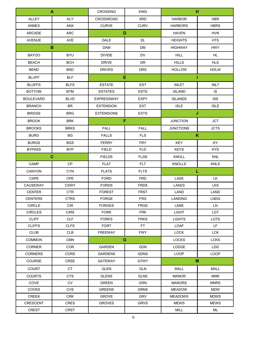| A                |             | <b>CROSSING</b><br><b>XING</b> |             | н                            |             |  |
|------------------|-------------|--------------------------------|-------------|------------------------------|-------------|--|
| ALLEY            | <b>ALY</b>  | <b>CROSSROAD</b>               | <b>XRD</b>  | <b>HARBOR</b>                | <b>HBR</b>  |  |
| <b>ANNEX</b>     | ANX         | <b>CURVE</b>                   | <b>CURV</b> | <b>HARBORS</b>               | <b>HBRS</b> |  |
| <b>ARCADE</b>    | ARC         | D                              |             | <b>HAVEN</b>                 | <b>HVN</b>  |  |
| <b>AVENUE</b>    | AVE         | <b>DALE</b>                    | <b>DL</b>   | <b>HEIGHTS</b>               | <b>HTS</b>  |  |
| в                |             | <b>DAM</b>                     | <b>DM</b>   | <b>HIGHWAY</b><br><b>HWY</b> |             |  |
| <b>BAYOO</b>     | <b>BYU</b>  | <b>DIVIDE</b>                  | <b>DV</b>   | <b>HILL</b>                  | <b>HL</b>   |  |
| <b>BEACH</b>     | <b>BCH</b>  | <b>DRIVE</b>                   | <b>DR</b>   | <b>HILLS</b>                 | <b>HLS</b>  |  |
| <b>BEND</b>      | <b>BND</b>  | <b>DRIVES</b>                  | <b>DRS</b>  | <b>HOLLOW</b>                | <b>HOLW</b> |  |
| <b>BLUFF</b>     | <b>BLF</b>  | Е                              |             |                              | ı           |  |
| <b>BLUFFS</b>    | <b>BLFS</b> | <b>ESTATE</b>                  | <b>EST</b>  | <b>INLET</b>                 | <b>INLT</b> |  |
| <b>BOTTOM</b>    | <b>BTM</b>  | <b>ESTATES</b>                 | <b>ESTS</b> | <b>ISLAND</b>                | <b>IS</b>   |  |
| <b>BOULEVARD</b> | <b>BLVD</b> | <b>EXPRESSWAY</b>              | <b>EXPY</b> | <b>ISLANDS</b>               | <b>ISS</b>  |  |
| <b>BRANCH</b>    | <b>BR</b>   | <b>EXTENSION</b>               | <b>EXT</b>  | <b>ISLE</b>                  | <b>ISLE</b> |  |
| <b>BRIDGE</b>    | <b>BRG</b>  | <b>EXTENSIONS</b>              | <b>EXTS</b> |                              | J           |  |
| <b>BROOK</b>     | <b>BRK</b>  | F                              |             | <b>JUNCTION</b>              | <b>JCT</b>  |  |
| <b>BROOKS</b>    | <b>BRKS</b> | <b>FALL</b>                    | <b>FALL</b> | <b>JUNCTIONS</b>             | <b>JCTS</b> |  |
| <b>BURG</b>      | BG          | <b>FALLS</b>                   | <b>FLS</b>  |                              | K           |  |
| <b>BURGS</b>     | <b>BGS</b>  | <b>FERRY</b>                   | <b>FRY</b>  | <b>KEY</b>                   | KY          |  |
| <b>BYPASS</b>    | <b>BYP</b>  | <b>FIELD</b>                   | <b>FLD</b>  | <b>KEYS</b>                  | <b>KYS</b>  |  |
| C                |             | <b>FIELDS</b>                  | <b>FLDS</b> | <b>KNOLL</b>                 | <b>KNL</b>  |  |
| CAMP             | CP          | <b>FLAT</b>                    | <b>FLT</b>  | <b>KNOLLS</b>                | <b>KNLS</b> |  |
| CANYON           | <b>CYN</b>  | <b>FLATS</b>                   | <b>FLTS</b> |                              | L           |  |
| CAPE             | <b>CPE</b>  | <b>FORD</b>                    | <b>FRD</b>  | LAKE                         | LK          |  |
| CAUSEWAY         | <b>CSWY</b> | <b>FORDS</b>                   | <b>FRDS</b> | LAKES                        | <b>LKS</b>  |  |
| <b>CENTER</b>    | <b>CTR</b>  | <b>FOREST</b>                  | FRST        | LAND                         | LAND        |  |
| <b>CENTERS</b>   | <b>CTRS</b> | <b>FORGE</b>                   | <b>FRG</b>  | <b>LANDING</b>               | <b>LNDG</b> |  |
| <b>CIRCLE</b>    | <b>CIR</b>  | <b>FORGES</b>                  | <b>FRGS</b> | LANE                         | LN.         |  |
| <b>CIRCLES</b>   | <b>CIRS</b> | <b>FORK</b>                    | <b>FRK</b>  | <b>LIGHT</b>                 | <b>LGT</b>  |  |
| <b>CLIFF</b>     | <b>CLF</b>  | <b>FORKS</b>                   | <b>FRKS</b> | <b>LIGHTS</b>                | <b>LGTS</b> |  |
| <b>CLIFFS</b>    | <b>CLFS</b> | <b>FORT</b>                    | FT.         | LOAF                         | LF.         |  |
| <b>CLUB</b>      | <b>CLB</b>  | FREEWAY                        | <b>FWY</b>  | <b>LOCK</b>                  | <b>LCK</b>  |  |
| <b>COMMON</b>    | <b>CMN</b>  | G                              |             | <b>LOCKS</b>                 | <b>LCKS</b> |  |
| <b>CORNER</b>    | COR         | <b>GARDEN</b>                  | <b>GDN</b>  | LODGE                        | <b>LDG</b>  |  |
| CORNERS          | CORS        | <b>GARDENS</b>                 | <b>GDNS</b> | LOOP                         | <b>LOOP</b> |  |
| COURSE           | <b>CRSE</b> | <b>GATEWAY</b>                 | <b>GTWY</b> |                              | M           |  |
| <b>COURT</b>     | <b>CT</b>   | <b>GLEN</b>                    | <b>GLN</b>  | MALL                         | <b>MALL</b> |  |
| <b>COURTS</b>    | <b>CTS</b>  | <b>GLENS</b>                   | <b>GLNS</b> | <b>MANOR</b>                 | <b>MNR</b>  |  |
| COVE             | <b>CV</b>   | <b>GREEN</b>                   | <b>GRN</b>  | <b>MANORS</b>                | <b>MNRS</b> |  |
| <b>COVES</b>     | <b>CVS</b>  | <b>GREENS</b>                  | <b>GRNS</b> | <b>MEADOW</b>                | <b>MDW</b>  |  |
| CREEK            | <b>CRK</b>  | <b>GROVE</b>                   | GRV         | MEADOWS                      | <b>MDWS</b> |  |
| <b>CRESCENT</b>  | <b>CRES</b> | <b>GROVES</b>                  | <b>GRVS</b> | <b>MEWS</b>                  | <b>MEWS</b> |  |
| CREST            | CRST        |                                |             | MILL                         | ML          |  |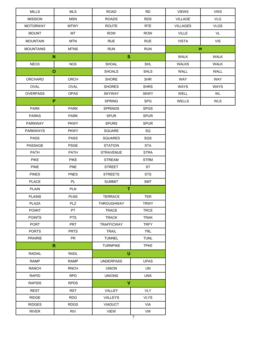| <b>MISSION</b><br><b>MSN</b><br><b>ROADS</b><br><b>RDS</b><br><b>VLG</b><br>VILLAGE<br><b>MTWY</b><br><b>ROUTE</b><br><b>RTE</b><br><b>VLGS</b><br><b>MOTORWAY</b><br><b>VILLAGES</b><br><b>MOUNT</b><br>MT<br><b>ROW</b><br><b>ROW</b><br><b>VILLE</b><br>VL<br><b>VIS</b><br><b>MOUNTAIN</b><br><b>MTN</b><br><b>RUE</b><br><b>RUE</b><br><b>VISTA</b><br><b>RUN</b><br><b>MTNS</b><br><b>RUN</b><br>W<br><b>MOUNTAINS</b><br>$\mathbf{s}$<br>N<br><b>WALK</b><br><b>WALK</b><br><b>NECK</b><br><b>SHL</b><br><b>NCK</b><br><b>SHOAL</b><br><b>WALKS</b><br><b>WALK</b><br>$\mathbf{o}$<br><b>SHOALS</b><br><b>SHLS</b><br>WALL<br>WALL<br><b>SHR</b><br>WAY<br>WAY<br>ORCHARD<br>ORCH<br><b>SHORE</b><br><b>OVAL</b><br>OVAL<br><b>SHORES</b><br><b>SHRS</b><br><b>WAYS</b><br><b>WAYS</b><br><b>OVERPASS</b><br><b>OPAS</b><br><b>SKYWAY</b><br><b>SKWY</b><br>WELL<br>WL<br>P<br><b>SPG</b><br><b>SPRING</b><br>WELLS<br><b>WLS</b><br><b>PARK</b><br><b>PARK</b><br><b>SPRINGS</b><br><b>SPGS</b><br><b>PARKS</b><br><b>PARK</b><br><b>SPUR</b><br><b>SPUR</b><br><b>PARKWAY</b><br><b>PKWY</b><br><b>SPURS</b><br><b>SPUR</b><br>SQ<br><b>PARKWAYS</b><br><b>PKWY</b><br>SQUARE<br><b>PASS</b><br><b>PASS</b><br>SQS<br>SQUARES<br>PASSAGE<br><b>STA</b><br><b>PSGE</b><br><b>STATION</b><br>PATH<br>PATH<br><b>STRAVENUE</b><br><b>STRA</b><br><b>PIKE</b><br><b>PIKE</b><br><b>STREAM</b><br><b>STRM</b><br><b>PINE</b><br><b>PNE</b><br><b>STREET</b><br><b>ST</b><br><b>PNES</b><br><b>STS</b><br><b>PINES</b><br><b>STREETS</b><br><b>PLACE</b><br>PL<br><b>SUMMIT</b><br><b>SMT</b><br>T.<br><b>PLAIN</b><br><b>PLN</b><br><b>PLAINS</b><br><b>PLNS</b><br><b>TERRACE</b><br>TER<br>PLZ<br>PLAZA<br>THROUGHWAY<br><b>TRWY</b><br><b>POIINT</b><br>PT<br>TRACE<br><b>TRCE</b><br><b>POINTS</b><br><b>PTS</b><br><b>TRACK</b><br><b>TRAK</b><br>PORT<br>PRT<br><b>TRAFFICWAY</b><br><b>TRFY</b><br><b>PORTS</b><br><b>PRTS</b><br><b>TRL</b><br><b>TRAIL</b><br><b>PRAIRIE</b><br>PR<br><b>TUNL</b><br><b>TUNNEL</b><br>$\mathbf R$<br><b>TURNPIKE</b><br><b>TPKE</b><br>$\cup$<br><b>RADIAL</b><br>RADL<br><b>RAMP</b><br><b>RAMP</b><br><b>UNDERPASS</b><br><b>UPAS</b><br><b>RANCH</b><br><b>RNCH</b><br><b>UNION</b><br>UN<br><b>UNS</b><br><b>RAPID</b><br><b>RPD</b><br><b>UNIONS</b><br>$\mathbf{V}$<br><b>RAPIDS</b><br><b>RPDS</b><br><b>VLY</b><br><b>REST</b><br>RST<br>VALLEY<br><b>RIDGE</b><br><b>RDG</b><br>VALLEYS<br><b>VLYS</b><br><b>RIDGES</b><br><b>RDGS</b><br><b>VIADUCT</b><br>VIA<br><b>RIVER</b><br><b>RIV</b><br><b>VIEW</b><br>VW | <b>MILLS</b> | <b>MLS</b> | <b>ROAD</b> | <b>RD</b> | <b>VIEWS</b> | <b>VWS</b> |
|--------------------------------------------------------------------------------------------------------------------------------------------------------------------------------------------------------------------------------------------------------------------------------------------------------------------------------------------------------------------------------------------------------------------------------------------------------------------------------------------------------------------------------------------------------------------------------------------------------------------------------------------------------------------------------------------------------------------------------------------------------------------------------------------------------------------------------------------------------------------------------------------------------------------------------------------------------------------------------------------------------------------------------------------------------------------------------------------------------------------------------------------------------------------------------------------------------------------------------------------------------------------------------------------------------------------------------------------------------------------------------------------------------------------------------------------------------------------------------------------------------------------------------------------------------------------------------------------------------------------------------------------------------------------------------------------------------------------------------------------------------------------------------------------------------------------------------------------------------------------------------------------------------------------------------------------------------------------------------------------------------------------------------------------------------------------------------------------------------------------------------------------------------------------------------------------------------------------------------------------------------------------------------------------------------------------------------------------------------------------------------------------------------------------------------------------------------------------------------------------------------------------------------------------------------------------------|--------------|------------|-------------|-----------|--------------|------------|
|                                                                                                                                                                                                                                                                                                                                                                                                                                                                                                                                                                                                                                                                                                                                                                                                                                                                                                                                                                                                                                                                                                                                                                                                                                                                                                                                                                                                                                                                                                                                                                                                                                                                                                                                                                                                                                                                                                                                                                                                                                                                                                                                                                                                                                                                                                                                                                                                                                                                                                                                                                          |              |            |             |           |              |            |
|                                                                                                                                                                                                                                                                                                                                                                                                                                                                                                                                                                                                                                                                                                                                                                                                                                                                                                                                                                                                                                                                                                                                                                                                                                                                                                                                                                                                                                                                                                                                                                                                                                                                                                                                                                                                                                                                                                                                                                                                                                                                                                                                                                                                                                                                                                                                                                                                                                                                                                                                                                          |              |            |             |           |              |            |
|                                                                                                                                                                                                                                                                                                                                                                                                                                                                                                                                                                                                                                                                                                                                                                                                                                                                                                                                                                                                                                                                                                                                                                                                                                                                                                                                                                                                                                                                                                                                                                                                                                                                                                                                                                                                                                                                                                                                                                                                                                                                                                                                                                                                                                                                                                                                                                                                                                                                                                                                                                          |              |            |             |           |              |            |
|                                                                                                                                                                                                                                                                                                                                                                                                                                                                                                                                                                                                                                                                                                                                                                                                                                                                                                                                                                                                                                                                                                                                                                                                                                                                                                                                                                                                                                                                                                                                                                                                                                                                                                                                                                                                                                                                                                                                                                                                                                                                                                                                                                                                                                                                                                                                                                                                                                                                                                                                                                          |              |            |             |           |              |            |
|                                                                                                                                                                                                                                                                                                                                                                                                                                                                                                                                                                                                                                                                                                                                                                                                                                                                                                                                                                                                                                                                                                                                                                                                                                                                                                                                                                                                                                                                                                                                                                                                                                                                                                                                                                                                                                                                                                                                                                                                                                                                                                                                                                                                                                                                                                                                                                                                                                                                                                                                                                          |              |            |             |           |              |            |
|                                                                                                                                                                                                                                                                                                                                                                                                                                                                                                                                                                                                                                                                                                                                                                                                                                                                                                                                                                                                                                                                                                                                                                                                                                                                                                                                                                                                                                                                                                                                                                                                                                                                                                                                                                                                                                                                                                                                                                                                                                                                                                                                                                                                                                                                                                                                                                                                                                                                                                                                                                          |              |            |             |           |              |            |
|                                                                                                                                                                                                                                                                                                                                                                                                                                                                                                                                                                                                                                                                                                                                                                                                                                                                                                                                                                                                                                                                                                                                                                                                                                                                                                                                                                                                                                                                                                                                                                                                                                                                                                                                                                                                                                                                                                                                                                                                                                                                                                                                                                                                                                                                                                                                                                                                                                                                                                                                                                          |              |            |             |           |              |            |
|                                                                                                                                                                                                                                                                                                                                                                                                                                                                                                                                                                                                                                                                                                                                                                                                                                                                                                                                                                                                                                                                                                                                                                                                                                                                                                                                                                                                                                                                                                                                                                                                                                                                                                                                                                                                                                                                                                                                                                                                                                                                                                                                                                                                                                                                                                                                                                                                                                                                                                                                                                          |              |            |             |           |              |            |
|                                                                                                                                                                                                                                                                                                                                                                                                                                                                                                                                                                                                                                                                                                                                                                                                                                                                                                                                                                                                                                                                                                                                                                                                                                                                                                                                                                                                                                                                                                                                                                                                                                                                                                                                                                                                                                                                                                                                                                                                                                                                                                                                                                                                                                                                                                                                                                                                                                                                                                                                                                          |              |            |             |           |              |            |
|                                                                                                                                                                                                                                                                                                                                                                                                                                                                                                                                                                                                                                                                                                                                                                                                                                                                                                                                                                                                                                                                                                                                                                                                                                                                                                                                                                                                                                                                                                                                                                                                                                                                                                                                                                                                                                                                                                                                                                                                                                                                                                                                                                                                                                                                                                                                                                                                                                                                                                                                                                          |              |            |             |           |              |            |
|                                                                                                                                                                                                                                                                                                                                                                                                                                                                                                                                                                                                                                                                                                                                                                                                                                                                                                                                                                                                                                                                                                                                                                                                                                                                                                                                                                                                                                                                                                                                                                                                                                                                                                                                                                                                                                                                                                                                                                                                                                                                                                                                                                                                                                                                                                                                                                                                                                                                                                                                                                          |              |            |             |           |              |            |
|                                                                                                                                                                                                                                                                                                                                                                                                                                                                                                                                                                                                                                                                                                                                                                                                                                                                                                                                                                                                                                                                                                                                                                                                                                                                                                                                                                                                                                                                                                                                                                                                                                                                                                                                                                                                                                                                                                                                                                                                                                                                                                                                                                                                                                                                                                                                                                                                                                                                                                                                                                          |              |            |             |           |              |            |
|                                                                                                                                                                                                                                                                                                                                                                                                                                                                                                                                                                                                                                                                                                                                                                                                                                                                                                                                                                                                                                                                                                                                                                                                                                                                                                                                                                                                                                                                                                                                                                                                                                                                                                                                                                                                                                                                                                                                                                                                                                                                                                                                                                                                                                                                                                                                                                                                                                                                                                                                                                          |              |            |             |           |              |            |
|                                                                                                                                                                                                                                                                                                                                                                                                                                                                                                                                                                                                                                                                                                                                                                                                                                                                                                                                                                                                                                                                                                                                                                                                                                                                                                                                                                                                                                                                                                                                                                                                                                                                                                                                                                                                                                                                                                                                                                                                                                                                                                                                                                                                                                                                                                                                                                                                                                                                                                                                                                          |              |            |             |           |              |            |
|                                                                                                                                                                                                                                                                                                                                                                                                                                                                                                                                                                                                                                                                                                                                                                                                                                                                                                                                                                                                                                                                                                                                                                                                                                                                                                                                                                                                                                                                                                                                                                                                                                                                                                                                                                                                                                                                                                                                                                                                                                                                                                                                                                                                                                                                                                                                                                                                                                                                                                                                                                          |              |            |             |           |              |            |
|                                                                                                                                                                                                                                                                                                                                                                                                                                                                                                                                                                                                                                                                                                                                                                                                                                                                                                                                                                                                                                                                                                                                                                                                                                                                                                                                                                                                                                                                                                                                                                                                                                                                                                                                                                                                                                                                                                                                                                                                                                                                                                                                                                                                                                                                                                                                                                                                                                                                                                                                                                          |              |            |             |           |              |            |
|                                                                                                                                                                                                                                                                                                                                                                                                                                                                                                                                                                                                                                                                                                                                                                                                                                                                                                                                                                                                                                                                                                                                                                                                                                                                                                                                                                                                                                                                                                                                                                                                                                                                                                                                                                                                                                                                                                                                                                                                                                                                                                                                                                                                                                                                                                                                                                                                                                                                                                                                                                          |              |            |             |           |              |            |
|                                                                                                                                                                                                                                                                                                                                                                                                                                                                                                                                                                                                                                                                                                                                                                                                                                                                                                                                                                                                                                                                                                                                                                                                                                                                                                                                                                                                                                                                                                                                                                                                                                                                                                                                                                                                                                                                                                                                                                                                                                                                                                                                                                                                                                                                                                                                                                                                                                                                                                                                                                          |              |            |             |           |              |            |
|                                                                                                                                                                                                                                                                                                                                                                                                                                                                                                                                                                                                                                                                                                                                                                                                                                                                                                                                                                                                                                                                                                                                                                                                                                                                                                                                                                                                                                                                                                                                                                                                                                                                                                                                                                                                                                                                                                                                                                                                                                                                                                                                                                                                                                                                                                                                                                                                                                                                                                                                                                          |              |            |             |           |              |            |
|                                                                                                                                                                                                                                                                                                                                                                                                                                                                                                                                                                                                                                                                                                                                                                                                                                                                                                                                                                                                                                                                                                                                                                                                                                                                                                                                                                                                                                                                                                                                                                                                                                                                                                                                                                                                                                                                                                                                                                                                                                                                                                                                                                                                                                                                                                                                                                                                                                                                                                                                                                          |              |            |             |           |              |            |
|                                                                                                                                                                                                                                                                                                                                                                                                                                                                                                                                                                                                                                                                                                                                                                                                                                                                                                                                                                                                                                                                                                                                                                                                                                                                                                                                                                                                                                                                                                                                                                                                                                                                                                                                                                                                                                                                                                                                                                                                                                                                                                                                                                                                                                                                                                                                                                                                                                                                                                                                                                          |              |            |             |           |              |            |
|                                                                                                                                                                                                                                                                                                                                                                                                                                                                                                                                                                                                                                                                                                                                                                                                                                                                                                                                                                                                                                                                                                                                                                                                                                                                                                                                                                                                                                                                                                                                                                                                                                                                                                                                                                                                                                                                                                                                                                                                                                                                                                                                                                                                                                                                                                                                                                                                                                                                                                                                                                          |              |            |             |           |              |            |
|                                                                                                                                                                                                                                                                                                                                                                                                                                                                                                                                                                                                                                                                                                                                                                                                                                                                                                                                                                                                                                                                                                                                                                                                                                                                                                                                                                                                                                                                                                                                                                                                                                                                                                                                                                                                                                                                                                                                                                                                                                                                                                                                                                                                                                                                                                                                                                                                                                                                                                                                                                          |              |            |             |           |              |            |
|                                                                                                                                                                                                                                                                                                                                                                                                                                                                                                                                                                                                                                                                                                                                                                                                                                                                                                                                                                                                                                                                                                                                                                                                                                                                                                                                                                                                                                                                                                                                                                                                                                                                                                                                                                                                                                                                                                                                                                                                                                                                                                                                                                                                                                                                                                                                                                                                                                                                                                                                                                          |              |            |             |           |              |            |
|                                                                                                                                                                                                                                                                                                                                                                                                                                                                                                                                                                                                                                                                                                                                                                                                                                                                                                                                                                                                                                                                                                                                                                                                                                                                                                                                                                                                                                                                                                                                                                                                                                                                                                                                                                                                                                                                                                                                                                                                                                                                                                                                                                                                                                                                                                                                                                                                                                                                                                                                                                          |              |            |             |           |              |            |
|                                                                                                                                                                                                                                                                                                                                                                                                                                                                                                                                                                                                                                                                                                                                                                                                                                                                                                                                                                                                                                                                                                                                                                                                                                                                                                                                                                                                                                                                                                                                                                                                                                                                                                                                                                                                                                                                                                                                                                                                                                                                                                                                                                                                                                                                                                                                                                                                                                                                                                                                                                          |              |            |             |           |              |            |
|                                                                                                                                                                                                                                                                                                                                                                                                                                                                                                                                                                                                                                                                                                                                                                                                                                                                                                                                                                                                                                                                                                                                                                                                                                                                                                                                                                                                                                                                                                                                                                                                                                                                                                                                                                                                                                                                                                                                                                                                                                                                                                                                                                                                                                                                                                                                                                                                                                                                                                                                                                          |              |            |             |           |              |            |
|                                                                                                                                                                                                                                                                                                                                                                                                                                                                                                                                                                                                                                                                                                                                                                                                                                                                                                                                                                                                                                                                                                                                                                                                                                                                                                                                                                                                                                                                                                                                                                                                                                                                                                                                                                                                                                                                                                                                                                                                                                                                                                                                                                                                                                                                                                                                                                                                                                                                                                                                                                          |              |            |             |           |              |            |
|                                                                                                                                                                                                                                                                                                                                                                                                                                                                                                                                                                                                                                                                                                                                                                                                                                                                                                                                                                                                                                                                                                                                                                                                                                                                                                                                                                                                                                                                                                                                                                                                                                                                                                                                                                                                                                                                                                                                                                                                                                                                                                                                                                                                                                                                                                                                                                                                                                                                                                                                                                          |              |            |             |           |              |            |
|                                                                                                                                                                                                                                                                                                                                                                                                                                                                                                                                                                                                                                                                                                                                                                                                                                                                                                                                                                                                                                                                                                                                                                                                                                                                                                                                                                                                                                                                                                                                                                                                                                                                                                                                                                                                                                                                                                                                                                                                                                                                                                                                                                                                                                                                                                                                                                                                                                                                                                                                                                          |              |            |             |           |              |            |
|                                                                                                                                                                                                                                                                                                                                                                                                                                                                                                                                                                                                                                                                                                                                                                                                                                                                                                                                                                                                                                                                                                                                                                                                                                                                                                                                                                                                                                                                                                                                                                                                                                                                                                                                                                                                                                                                                                                                                                                                                                                                                                                                                                                                                                                                                                                                                                                                                                                                                                                                                                          |              |            |             |           |              |            |
|                                                                                                                                                                                                                                                                                                                                                                                                                                                                                                                                                                                                                                                                                                                                                                                                                                                                                                                                                                                                                                                                                                                                                                                                                                                                                                                                                                                                                                                                                                                                                                                                                                                                                                                                                                                                                                                                                                                                                                                                                                                                                                                                                                                                                                                                                                                                                                                                                                                                                                                                                                          |              |            |             |           |              |            |
|                                                                                                                                                                                                                                                                                                                                                                                                                                                                                                                                                                                                                                                                                                                                                                                                                                                                                                                                                                                                                                                                                                                                                                                                                                                                                                                                                                                                                                                                                                                                                                                                                                                                                                                                                                                                                                                                                                                                                                                                                                                                                                                                                                                                                                                                                                                                                                                                                                                                                                                                                                          |              |            |             |           |              |            |
|                                                                                                                                                                                                                                                                                                                                                                                                                                                                                                                                                                                                                                                                                                                                                                                                                                                                                                                                                                                                                                                                                                                                                                                                                                                                                                                                                                                                                                                                                                                                                                                                                                                                                                                                                                                                                                                                                                                                                                                                                                                                                                                                                                                                                                                                                                                                                                                                                                                                                                                                                                          |              |            |             |           |              |            |
|                                                                                                                                                                                                                                                                                                                                                                                                                                                                                                                                                                                                                                                                                                                                                                                                                                                                                                                                                                                                                                                                                                                                                                                                                                                                                                                                                                                                                                                                                                                                                                                                                                                                                                                                                                                                                                                                                                                                                                                                                                                                                                                                                                                                                                                                                                                                                                                                                                                                                                                                                                          |              |            |             |           |              |            |
|                                                                                                                                                                                                                                                                                                                                                                                                                                                                                                                                                                                                                                                                                                                                                                                                                                                                                                                                                                                                                                                                                                                                                                                                                                                                                                                                                                                                                                                                                                                                                                                                                                                                                                                                                                                                                                                                                                                                                                                                                                                                                                                                                                                                                                                                                                                                                                                                                                                                                                                                                                          |              |            |             |           |              |            |
|                                                                                                                                                                                                                                                                                                                                                                                                                                                                                                                                                                                                                                                                                                                                                                                                                                                                                                                                                                                                                                                                                                                                                                                                                                                                                                                                                                                                                                                                                                                                                                                                                                                                                                                                                                                                                                                                                                                                                                                                                                                                                                                                                                                                                                                                                                                                                                                                                                                                                                                                                                          |              |            |             |           |              |            |
|                                                                                                                                                                                                                                                                                                                                                                                                                                                                                                                                                                                                                                                                                                                                                                                                                                                                                                                                                                                                                                                                                                                                                                                                                                                                                                                                                                                                                                                                                                                                                                                                                                                                                                                                                                                                                                                                                                                                                                                                                                                                                                                                                                                                                                                                                                                                                                                                                                                                                                                                                                          |              |            |             |           |              |            |
|                                                                                                                                                                                                                                                                                                                                                                                                                                                                                                                                                                                                                                                                                                                                                                                                                                                                                                                                                                                                                                                                                                                                                                                                                                                                                                                                                                                                                                                                                                                                                                                                                                                                                                                                                                                                                                                                                                                                                                                                                                                                                                                                                                                                                                                                                                                                                                                                                                                                                                                                                                          |              |            |             |           |              |            |
|                                                                                                                                                                                                                                                                                                                                                                                                                                                                                                                                                                                                                                                                                                                                                                                                                                                                                                                                                                                                                                                                                                                                                                                                                                                                                                                                                                                                                                                                                                                                                                                                                                                                                                                                                                                                                                                                                                                                                                                                                                                                                                                                                                                                                                                                                                                                                                                                                                                                                                                                                                          |              |            |             |           |              |            |
|                                                                                                                                                                                                                                                                                                                                                                                                                                                                                                                                                                                                                                                                                                                                                                                                                                                                                                                                                                                                                                                                                                                                                                                                                                                                                                                                                                                                                                                                                                                                                                                                                                                                                                                                                                                                                                                                                                                                                                                                                                                                                                                                                                                                                                                                                                                                                                                                                                                                                                                                                                          |              |            |             | 7         |              |            |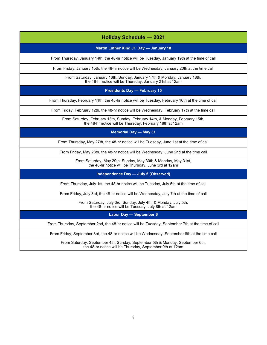### **Holiday Schedule — 2021**

#### **Martin Luther King Jr. Day — January 18**

From Thursday, January 14th, the 48-hr notice will be Tuesday, January 19th at the time of call

From Friday, January 15th, the 48-hr notice will be Wednesday, January 20th at the time call

From Saturday, January 16th, Sunday, January 17th & Monday, January 18th, the 48-hr notice will be Thursday, January 21st at 12am

**Presidents Day — February 15**

From Thursday, February 11th, the 48-hr notice will be Tuesday, February 16th at the time of call

From Friday, February 12th, the 48-hr notice will be Wednesday, February 17th at the time call

From Saturday, February 13th, Sunday, February 14th, & Monday, February 15th, the 48-hr notice will be Thursday, February 18th at 12am

**Memorial Day — May 31**

From Thursday, May 27th, the 48-hr notice will be Tuesday, June 1st at the time of call

From Friday, May 28th, the 48-hr notice will be Wednesday, June 2nd at the time call

From Saturday, May 29th, Sunday, May 30th & Monday, May 31st, the 48-hr notice will be Thursday, June 3rd at 12am

**Independence Day — July 5 (Observed)**

From Thursday, July 1st, the 48-hr notice will be Tuesday, July 5th at the time of call

From Friday, July 3rd, the 48-hr notice will be Wednesday, July 7th at the time of call

From Saturday, July 3rd, Sunday, July 4th, & Monday, July 5th, the 48-hr notice will be Tuesday, July 8th at 12am

**Labor Day — September 6**

From Thursday, September 2nd, the 48-hr notice will be Tuesday, September 7th at the time of call

From Friday, September 3rd, the 48-hr notice will be Wednesday, September 8th at the time call

From Saturday, September 4th, Sunday, September 5th & Monday, September 6th, the 48-hr notice will be Thursday, September 9th at 12am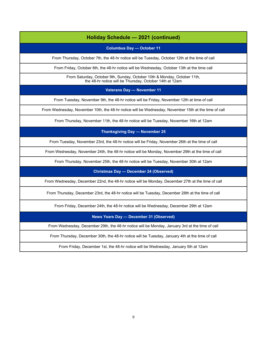#### **Holiday Schedule — 2021 (continued)**

**Columbus Day — October 11**

From Thursday, October 7th, the 48-hr notice will be Tuesday, October 12th at the time of call

From Friday, October 8th, the 48-hr notice will be Wednesday, October 13th at the time call

From Saturday, October 9th, Sunday, October 10th & Monday, October 11th, the 48-hr notice will be Thursday, October 14th at 12am

**Veterans Day — November 11**

From Tuesday, November 9th, the 48-hr notice will be Friday, November 12th at time of call

From Wednesday, November 10th, the 48-hr notice will be Wednesday, November 15th at the time of call

From Thursday, November 11th, the 48-hr notice will be Tuesday, November 16th at 12am

**Thanksgiving Day — November 25**

From Tuesday, November 23rd, the 48-hr notice will be Friday, November 26th at the time of call

From Wednesday, November 24th, the 48-hr notice will be Monday, November 29th at the time of call

From Thursday, November 25th, the 48-hr notice will be Tuesday, November 30th at 12am

**Christmas Day — December 24 (Observed)**

From Wednesday, December 22nd, the 48-hr notice will be Monday, December 27th at the time of call

From Thursday, December 23rd, the 48-hr notice will be Tuesday, December 28th at the time of call

From Friday, December 24th, the 48-hr notice will be Wednesday, December 29th at 12am

**News Years Day — December 31 (Observed)** 

From Wednesday, December 29th, the 48-hr notice will be Monday, January 3rd at the time of call

From Thursday, December 30th, the 48-hr notice will be Tuesday, January 4th at the time of call

From Friday, December 1st, the 48-hr notice will be Wednesday, January 5th at 12am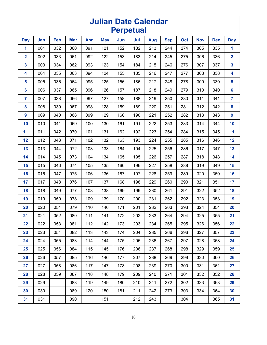| <b>Julian Date Calendar</b><br><b>Perpetual</b> |     |     |            |     |            |     |     |     |            |     |            |            |                         |
|-------------------------------------------------|-----|-----|------------|-----|------------|-----|-----|-----|------------|-----|------------|------------|-------------------------|
| <b>Day</b>                                      | Jan | Feb | <b>Mar</b> | Apr | <b>May</b> | Jun | Jul | Aug | <b>Sep</b> | Oct | <b>Nov</b> | <b>Dec</b> | <b>Day</b>              |
| 1                                               | 001 | 032 | 060        | 091 | 121        | 152 | 182 | 213 | 244        | 274 | 305        | 335        | 1                       |
| $\overline{\mathbf{2}}$                         | 002 | 033 | 061        | 092 | 122        | 153 | 183 | 214 | 245        | 275 | 306        | 336        | $\overline{\mathbf{2}}$ |
| 3                                               | 003 | 034 | 062        | 093 | 123        | 154 | 184 | 215 | 246        | 276 | 307        | 337        | 3                       |
| 4                                               | 004 | 035 | 063        | 094 | 124        | 155 | 185 | 216 | 247        | 277 | 308        | 338        | 4                       |
| 5                                               | 005 | 036 | 064        | 095 | 125        | 156 | 186 | 217 | 248        | 278 | 309        | 339        | 5                       |
| $6\phantom{a}$                                  | 006 | 037 | 065        | 096 | 126        | 157 | 187 | 218 | 249        | 279 | 310        | 340        | 6                       |
| 7                                               | 007 | 038 | 066        | 097 | 127        | 158 | 188 | 219 | 250        | 280 | 311        | 341        | $\overline{7}$          |
| 8                                               | 008 | 039 | 067        | 098 | 128        | 159 | 189 | 220 | 251        | 281 | 312        | 342        | $\boldsymbol{8}$        |
| 9                                               | 009 | 040 | 068        | 099 | 129        | 160 | 190 | 221 | 252        | 282 | 313        | 343        | 9                       |
| 10                                              | 010 | 041 | 069        | 100 | 130        | 161 | 191 | 222 | 253        | 283 | 314        | 344        | 10                      |
| 11                                              | 011 | 042 | 070        | 101 | 131        | 162 | 192 | 223 | 254        | 284 | 315        | 345        | 11                      |
| 12                                              | 012 | 043 | 071        | 102 | 132        | 163 | 193 | 224 | 255        | 285 | 316        | 346        | 12                      |
| 13                                              | 013 | 044 | 072        | 103 | 133        | 164 | 194 | 225 | 256        | 286 | 317        | 347        | 13                      |
| 14                                              | 014 | 045 | 073        | 104 | 134        | 165 | 195 | 226 | 257        | 287 | 318        | 348        | 14                      |
| 15                                              | 015 | 046 | 074        | 105 | 135        | 166 | 196 | 227 | 258        | 288 | 319        | 349        | 15                      |
| 16                                              | 016 | 047 | 075        | 106 | 136        | 167 | 197 | 228 | 259        | 289 | 320        | 350        | 16                      |
| 17                                              | 017 | 048 | 076        | 107 | 137        | 168 | 198 | 229 | 260        | 290 | 321        | 351        | 17                      |
| 18                                              | 018 | 049 | 077        | 108 | 138        | 169 | 199 | 230 | 261        | 291 | 322        | 352        | 18                      |
| 19                                              | 019 | 050 | 078        | 109 | 139        | 170 | 200 | 231 | 262        | 292 | 323        | 353        | 19                      |
| 20                                              | 020 | 051 | 079        | 110 | 140        | 171 | 201 | 232 | 263        | 293 | 324        | 354        | 20                      |
| 21                                              | 021 | 052 | 080        | 111 | 141        | 172 | 202 | 233 | 264        | 294 | 325        | 355        | 21                      |
| 22                                              | 022 | 053 | 081        | 112 | 142        | 173 | 203 | 234 | 265        | 295 | 326        | 356        | 22                      |
| 23                                              | 023 | 054 | 082        | 113 | 143        | 174 | 204 | 235 | 266        | 296 | 327        | 357        | 23                      |
| 24                                              | 024 | 055 | 083        | 114 | 144        | 175 | 205 | 236 | 267        | 297 | 328        | 358        | 24                      |
| 25                                              | 025 | 056 | 084        | 115 | 145        | 176 | 206 | 237 | 268        | 298 | 329        | 359        | 25                      |
| 26                                              | 026 | 057 | 085        | 116 | 146        | 177 | 207 | 238 | 269        | 299 | 330        | 360        | 26                      |
| 27                                              | 027 | 058 | 086        | 117 | 147        | 178 | 208 | 239 | 270        | 300 | 331        | 361        | 27                      |
| 28                                              | 028 | 059 | 087        | 118 | 148        | 179 | 209 | 240 | 271        | 301 | 332        | 352        | 28                      |
| 29                                              | 029 |     | 088        | 119 | 149        | 180 | 210 | 241 | 272        | 302 | 333        | 363        | 29                      |
| 30                                              | 030 |     | 089        | 120 | 150        | 181 | 211 | 242 | 273        | 303 | 334        | 364        | 30                      |
| 31                                              | 031 |     | 090        |     | 151        |     | 212 | 243 |            | 304 |            | 365        | 31                      |